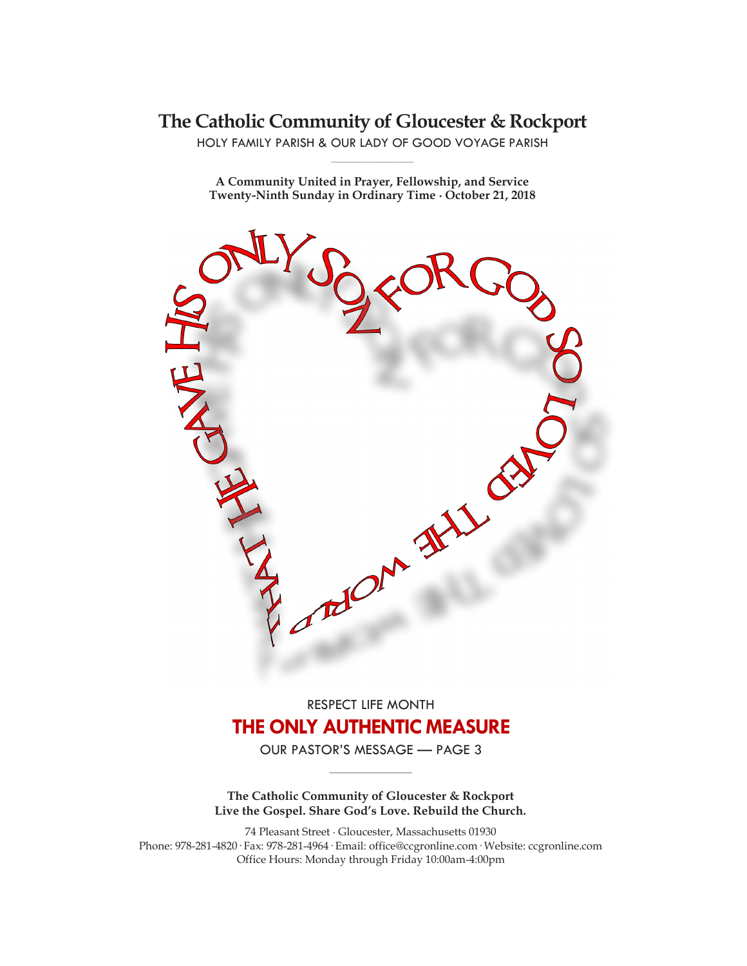## **The Catholic Community of Gloucester & Rockport**

HOLY FAMILY PARISH & OUR LADY OF GOOD VOYAGE PARISH **\_\_\_\_\_\_\_\_\_\_\_\_\_\_\_\_\_\_\_\_\_\_\_\_\_\_\_\_\_**

**A Community United in Prayer, Fellowship, and Service Twenty-Ninth Sunday in Ordinary Time ∙ October 21, 2018**



# RESPECT LIFE MONTH **THE ONLY AUTHENTIC MEASURE**

OUR PASTOR'S MESSAGE — PAGE 3 **\_\_\_\_\_\_\_\_\_\_\_\_\_\_\_\_\_\_\_\_\_\_\_\_\_\_\_\_\_**

**The Catholic Community of Gloucester & Rockport Live the Gospel. Share God's Love. Rebuild the Church.**

74 Pleasant Street ∙ Gloucester, Massachusetts 01930 Phone: 978-281-4820· Fax: 978-281-4964· Email: office@ccgronline.com· Website: ccgronline.com Office Hours: Monday through Friday 10:00am-4:00pm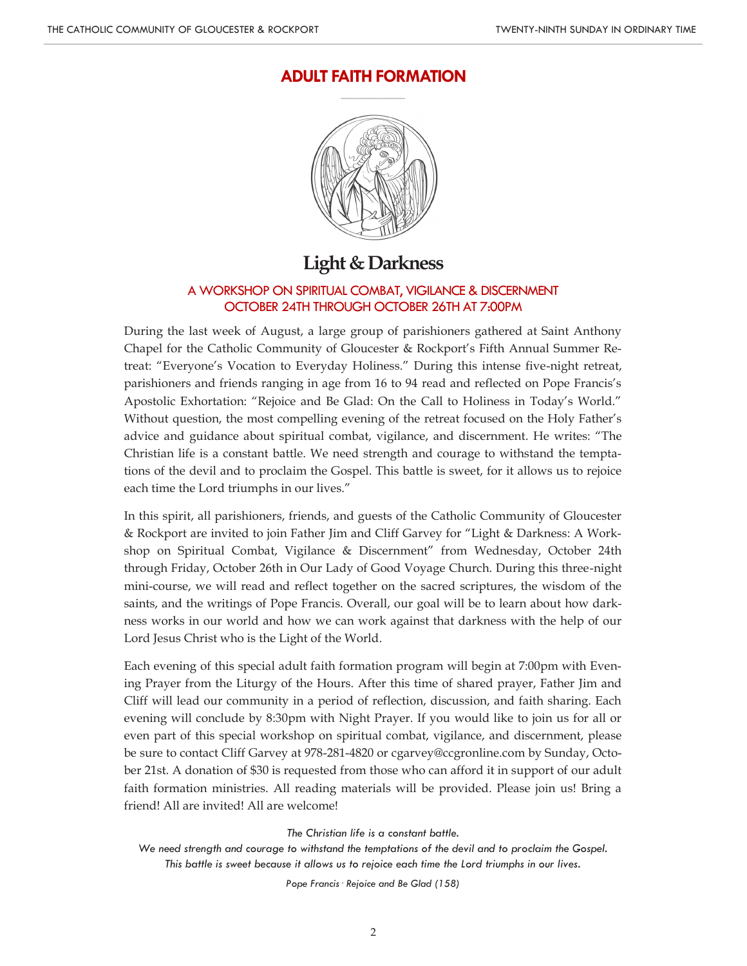#### **ADULT FAITH FORMATION \_\_\_\_\_\_\_\_\_\_\_\_\_\_\_\_\_\_\_\_\_**



# **Light & Darkness**

#### A WORKSHOP ON SPIRITUAL COMBAT, VIGILANCE & DISCERNMENT OCTOBER 24TH THROUGH OCTOBER 26TH AT 7:00PM

During the last week of August, a large group of parishioners gathered at Saint Anthony Chapel for the Catholic Community of Gloucester & Rockport's Fifth Annual Summer Retreat: "Everyone's Vocation to Everyday Holiness." During this intense five-night retreat, parishioners and friends ranging in age from 16 to 94 read and reflected on Pope Francis's Apostolic Exhortation: "Rejoice and Be Glad: On the Call to Holiness in Today's World." Without question, the most compelling evening of the retreat focused on the Holy Father's advice and guidance about spiritual combat, vigilance, and discernment. He writes: "The Christian life is a constant battle. We need strength and courage to withstand the temptations of the devil and to proclaim the Gospel. This battle is sweet, for it allows us to rejoice each time the Lord triumphs in our lives."

In this spirit, all parishioners, friends, and guests of the Catholic Community of Gloucester & Rockport are invited to join Father Jim and Cliff Garvey for "Light & Darkness: A Workshop on Spiritual Combat, Vigilance & Discernment" from Wednesday, October 24th through Friday, October 26th in Our Lady of Good Voyage Church. During this three-night mini-course, we will read and reflect together on the sacred scriptures, the wisdom of the saints, and the writings of Pope Francis. Overall, our goal will be to learn about how darkness works in our world and how we can work against that darkness with the help of our Lord Jesus Christ who is the Light of the World.

Each evening of this special adult faith formation program will begin at 7:00pm with Evening Prayer from the Liturgy of the Hours. After this time of shared prayer, Father Jim and Cliff will lead our community in a period of reflection, discussion, and faith sharing. Each evening will conclude by 8:30pm with Night Prayer. If you would like to join us for all or even part of this special workshop on spiritual combat, vigilance, and discernment, please be sure to contact Cliff Garvey at 978-281-4820 or cgarvey@ccgronline.com by Sunday, October 21st. A donation of \$30 is requested from those who can afford it in support of our adult faith formation ministries. All reading materials will be provided. Please join us! Bring a friend! All are invited! All are welcome!

*The Christian life is a constant battle.*

*Pope Francis· Rejoice and Be Glad (158)*

*We need strength and courage to withstand the temptations of the devil and to proclaim the Gospel. This battle is sweet because it allows us to rejoice each time the Lord triumphs in our lives.*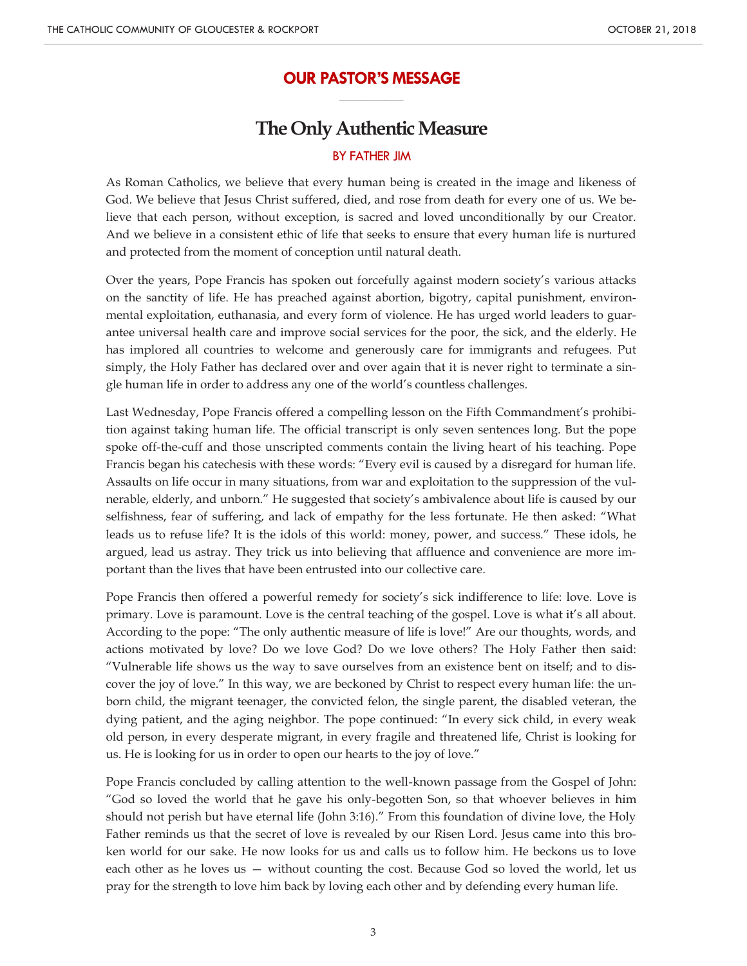#### **OUR PASTOR'S MESSAGE \_\_\_\_\_\_\_\_\_\_\_\_\_\_\_\_\_\_\_\_\_**

## **The Only Authentic Measure**

#### BY FATHER JIM

As Roman Catholics, we believe that every human being is created in the image and likeness of God. We believe that Jesus Christ suffered, died, and rose from death for every one of us. We believe that each person, without exception, is sacred and loved unconditionally by our Creator. And we believe in a consistent ethic of life that seeks to ensure that every human life is nurtured and protected from the moment of conception until natural death.

Over the years, Pope Francis has spoken out forcefully against modern society's various attacks on the sanctity of life. He has preached against abortion, bigotry, capital punishment, environmental exploitation, euthanasia, and every form of violence. He has urged world leaders to guarantee universal health care and improve social services for the poor, the sick, and the elderly. He has implored all countries to welcome and generously care for immigrants and refugees. Put simply, the Holy Father has declared over and over again that it is never right to terminate a single human life in order to address any one of the world's countless challenges.

Last Wednesday, Pope Francis offered a compelling lesson on the Fifth Commandment's prohibition against taking human life. The official transcript is only seven sentences long. But the pope spoke off-the-cuff and those unscripted comments contain the living heart of his teaching. Pope Francis began his catechesis with these words: "Every evil is caused by a disregard for human life. Assaults on life occur in many situations, from war and exploitation to the suppression of the vulnerable, elderly, and unborn." He suggested that society's ambivalence about life is caused by our selfishness, fear of suffering, and lack of empathy for the less fortunate. He then asked: "What leads us to refuse life? It is the idols of this world: money, power, and success." These idols, he argued, lead us astray. They trick us into believing that affluence and convenience are more important than the lives that have been entrusted into our collective care.

Pope Francis then offered a powerful remedy for society's sick indifference to life: love. Love is primary. Love is paramount. Love is the central teaching of the gospel. Love is what it's all about. According to the pope: "The only authentic measure of life is love!" Are our thoughts, words, and actions motivated by love? Do we love God? Do we love others? The Holy Father then said: "Vulnerable life shows us the way to save ourselves from an existence bent on itself; and to discover the joy of love." In this way, we are beckoned by Christ to respect every human life: the unborn child, the migrant teenager, the convicted felon, the single parent, the disabled veteran, the dying patient, and the aging neighbor. The pope continued: "In every sick child, in every weak old person, in every desperate migrant, in every fragile and threatened life, Christ is looking for us. He is looking for us in order to open our hearts to the joy of love."

Pope Francis concluded by calling attention to the well-known passage from the Gospel of John: "God so loved the world that he gave his only-begotten Son, so that whoever believes in him should not perish but have eternal life (John 3:16)." From this foundation of divine love, the Holy Father reminds us that the secret of love is revealed by our Risen Lord. Jesus came into this broken world for our sake. He now looks for us and calls us to follow him. He beckons us to love each other as he loves us — without counting the cost. Because God so loved the world, let us pray for the strength to love him back by loving each other and by defending every human life.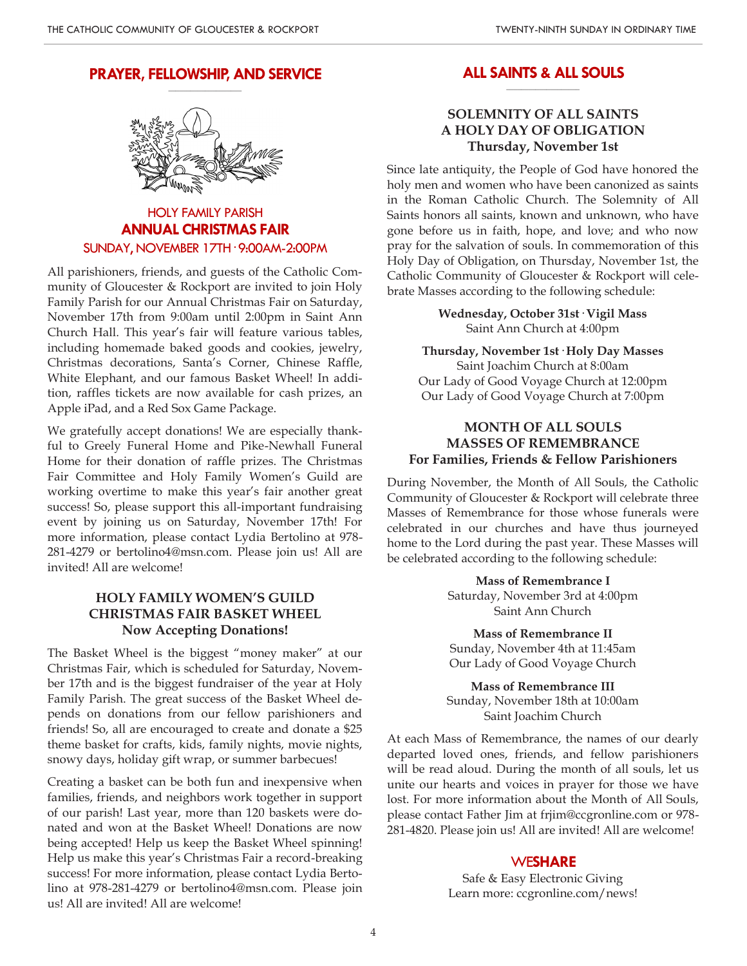#### **PRAYER, FELLOWSHIP, AND SERVICE \_\_\_\_\_\_\_\_\_\_\_\_\_\_\_\_\_\_\_\_**



## HOLY FAMILY PARISH **ANNUAL CHRISTMAS FAIR** SUNDAY, NOVEMBER 17TH· 9:00AM-2:00PM

All parishioners, friends, and guests of the Catholic Community of Gloucester & Rockport are invited to join Holy Family Parish for our Annual Christmas Fair on Saturday, November 17th from 9:00am until 2:00pm in Saint Ann Church Hall. This year's fair will feature various tables, including homemade baked goods and cookies, jewelry, Christmas decorations, Santa's Corner, Chinese Raffle, White Elephant, and our famous Basket Wheel! In addition, raffles tickets are now available for cash prizes, an Apple iPad, and a Red Sox Game Package.

We gratefully accept donations! We are especially thankful to Greely Funeral Home and Pike-Newhall Funeral Home for their donation of raffle prizes. The Christmas Fair Committee and Holy Family Women's Guild are working overtime to make this year's fair another great success! So, please support this all-important fundraising event by joining us on Saturday, November 17th! For more information, please contact Lydia Bertolino at 978- 281-4279 or bertolino4@msn.com. Please join us! All are invited! All are welcome!

### **HOLY FAMILY WOMEN'S GUILD CHRISTMAS FAIR BASKET WHEEL Now Accepting Donations!**

The Basket Wheel is the biggest "money maker" at our Christmas Fair, which is scheduled for Saturday, November 17th and is the biggest fundraiser of the year at Holy Family Parish. The great success of the Basket Wheel depends on donations from our fellow parishioners and friends! So, all are encouraged to create and donate a \$25 theme basket for crafts, kids, family nights, movie nights, snowy days, holiday gift wrap, or summer barbecues!

Creating a basket can be both fun and inexpensive when families, friends, and neighbors work together in support of our parish! Last year, more than 120 baskets were donated and won at the Basket Wheel! Donations are now being accepted! Help us keep the Basket Wheel spinning! Help us make this year's Christmas Fair a record-breaking success! For more information, please contact Lydia Bertolino at 978-281-4279 or bertolino4@msn.com. Please join us! All are invited! All are welcome!

#### **ALL SAINTS & ALL SOULS \_\_\_\_\_\_\_\_\_\_\_\_\_\_\_\_\_\_\_\_**

#### **SOLEMNITY OF ALL SAINTS A HOLY DAY OF OBLIGATION Thursday, November 1st**

Since late antiquity, the People of God have honored the holy men and women who have been canonized as saints in the Roman Catholic Church. The Solemnity of All Saints honors all saints, known and unknown, who have gone before us in faith, hope, and love; and who now pray for the salvation of souls. In commemoration of this Holy Day of Obligation, on Thursday, November 1st, the Catholic Community of Gloucester & Rockport will celebrate Masses according to the following schedule:

> **Wednesday, October 31st· Vigil Mass** Saint Ann Church at 4:00pm

**Thursday, November 1st· Holy Day Masses** Saint Joachim Church at 8:00am Our Lady of Good Voyage Church at 12:00pm Our Lady of Good Voyage Church at 7:00pm

#### **MONTH OF ALL SOULS MASSES OF REMEMBRANCE For Families, Friends & Fellow Parishioners**

During November, the Month of All Souls, the Catholic Community of Gloucester & Rockport will celebrate three Masses of Remembrance for those whose funerals were celebrated in our churches and have thus journeyed home to the Lord during the past year. These Masses will be celebrated according to the following schedule:

> **Mass of Remembrance I** Saturday, November 3rd at 4:00pm Saint Ann Church

> **Mass of Remembrance II** Sunday, November 4th at 11:45am Our Lady of Good Voyage Church

**Mass of Remembrance III** Sunday, November 18th at 10:00am Saint Joachim Church

At each Mass of Remembrance, the names of our dearly departed loved ones, friends, and fellow parishioners will be read aloud. During the month of all souls, let us unite our hearts and voices in prayer for those we have lost. For more information about the Month of All Souls, please contact Father Jim at frjim@ccgronline.com or 978- 281-4820. Please join us! All are invited! All are welcome!

#### WE**SHARE**

Safe & Easy Electronic Giving Learn more: ccgronline.com/news!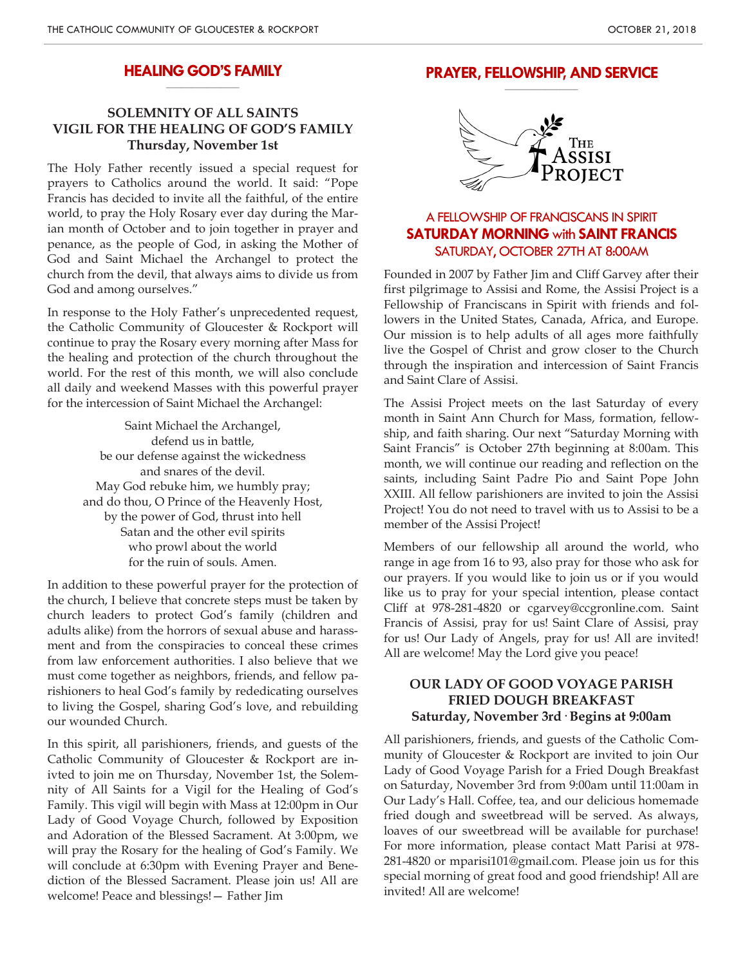#### **HEALING GOD'S FAMILY \_\_\_\_\_\_\_\_\_\_\_\_\_\_\_\_\_\_\_\_**

## **SOLEMNITY OF ALL SAINTS VIGIL FOR THE HEALING OF GOD'S FAMILY Thursday, November 1st**

The Holy Father recently issued a special request for prayers to Catholics around the world. It said: "Pope Francis has decided to invite all the faithful, of the entire world, to pray the Holy Rosary ever day during the Marian month of October and to join together in prayer and penance, as the people of God, in asking the Mother of God and Saint Michael the Archangel to protect the church from the devil, that always aims to divide us from God and among ourselves."

In response to the Holy Father's unprecedented request, the Catholic Community of Gloucester & Rockport will continue to pray the Rosary every morning after Mass for the healing and protection of the church throughout the world. For the rest of this month, we will also conclude all daily and weekend Masses with this powerful prayer for the intercession of Saint Michael the Archangel:

> Saint Michael the Archangel, defend us in battle, be our defense against the wickedness and snares of the devil. May God rebuke him, we humbly pray; and do thou, O Prince of the Heavenly Host, by the power of God, thrust into hell Satan and the other evil spirits who prowl about the world for the ruin of souls. Amen.

In addition to these powerful prayer for the protection of the church, I believe that concrete steps must be taken by church leaders to protect God's family (children and adults alike) from the horrors of sexual abuse and harassment and from the conspiracies to conceal these crimes from law enforcement authorities. I also believe that we must come together as neighbors, friends, and fellow parishioners to heal God's family by rededicating ourselves to living the Gospel, sharing God's love, and rebuilding our wounded Church.

In this spirit, all parishioners, friends, and guests of the Catholic Community of Gloucester & Rockport are inivted to join me on Thursday, November 1st, the Solemnity of All Saints for a Vigil for the Healing of God's Family. This vigil will begin with Mass at 12:00pm in Our Lady of Good Voyage Church, followed by Exposition and Adoration of the Blessed Sacrament. At 3:00pm, we will pray the Rosary for the healing of God's Family. We will conclude at 6:30pm with Evening Prayer and Benediction of the Blessed Sacrament. Please join us! All are welcome! Peace and blessings!— Father Jim

#### **PRAYER, FELLOWSHIP, AND SERVICE \_\_\_\_\_\_\_\_\_\_\_\_\_\_\_\_\_\_\_\_**



## A FELLOWSHIP OF FRANCISCANS IN SPIRIT **SATURDAY MORNING** with **SAINT FRANCIS** SATURDAY, OCTOBER 27TH AT 8:00AM

Founded in 2007 by Father Jim and Cliff Garvey after their first pilgrimage to Assisi and Rome, the Assisi Project is a Fellowship of Franciscans in Spirit with friends and followers in the United States, Canada, Africa, and Europe. Our mission is to help adults of all ages more faithfully live the Gospel of Christ and grow closer to the Church through the inspiration and intercession of Saint Francis and Saint Clare of Assisi.

The Assisi Project meets on the last Saturday of every month in Saint Ann Church for Mass, formation, fellowship, and faith sharing. Our next "Saturday Morning with Saint Francis" is October 27th beginning at 8:00am. This month, we will continue our reading and reflection on the saints, including Saint Padre Pio and Saint Pope John XXIII. All fellow parishioners are invited to join the Assisi Project! You do not need to travel with us to Assisi to be a member of the Assisi Project!

Members of our fellowship all around the world, who range in age from 16 to 93, also pray for those who ask for our prayers. If you would like to join us or if you would like us to pray for your special intention, please contact Cliff at 978-281-4820 or cgarvey@ccgronline.com. Saint Francis of Assisi, pray for us! Saint Clare of Assisi, pray for us! Our Lady of Angels, pray for us! All are invited! All are welcome! May the Lord give you peace!

#### **OUR LADY OF GOOD VOYAGE PARISH FRIED DOUGH BREAKFAST Saturday, November 3rd· Begins at 9:00am**

All parishioners, friends, and guests of the Catholic Community of Gloucester & Rockport are invited to join Our Lady of Good Voyage Parish for a Fried Dough Breakfast on Saturday, November 3rd from 9:00am until 11:00am in Our Lady's Hall. Coffee, tea, and our delicious homemade fried dough and sweetbread will be served. As always, loaves of our sweetbread will be available for purchase! For more information, please contact Matt Parisi at 978- 281-4820 or mparisi101@gmail.com. Please join us for this special morning of great food and good friendship! All are invited! All are welcome!